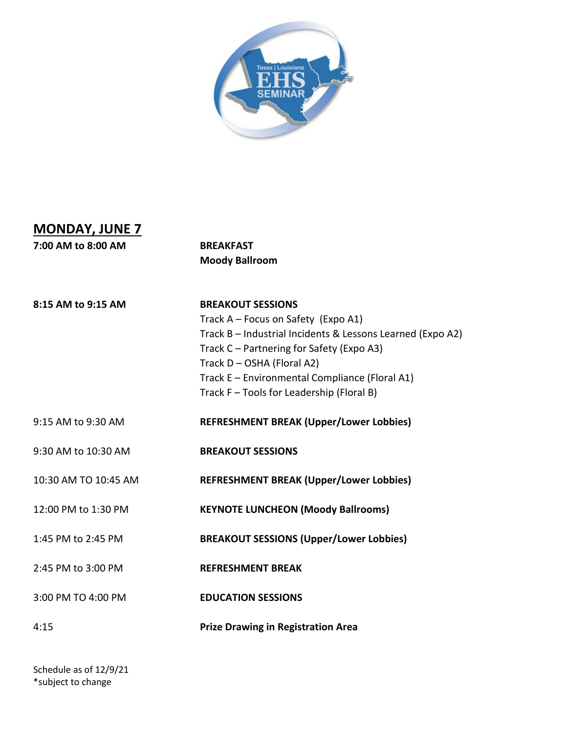

## **MONDAY, JUNE 7**

**7:00 AM to 8:00 AM BREAKFAST** 

 **Moody Ballroom**

**8:15 AM to 9:15 AM BREAKOUT SESSIONS**

Track A – Focus on Safety (Expo A1) Track B – Industrial Incidents & Lessons Learned (Expo A2) Track C – Partnering for Safety (Expo A3) Track D – OSHA (Floral A2) Track E – Environmental Compliance (Floral A1) Track F – Tools for Leadership (Floral B)

9:15 AM to 9:30 AM **REFRESHMENT BREAK (Upper/Lower Lobbies)**

9:30 AM to 10:30 AM **BREAKOUT SESSIONS**

10:30 AM TO 10:45 AM **REFRESHMENT BREAK (Upper/Lower Lobbies)**

12:00 PM to 1:30 PM **KEYNOTE LUNCHEON (Moody Ballrooms)**

1:45 PM to 2:45 PM **BREAKOUT SESSIONS (Upper/Lower Lobbies)**

2:45 PM to 3:00 PM **REFRESHMENT BREAK**

3:00 PM TO 4:00 PM **EDUCATION SESSIONS**

4:15 **Prize Drawing in Registration Area**

Schedule as of 12/9/21 \*subject to change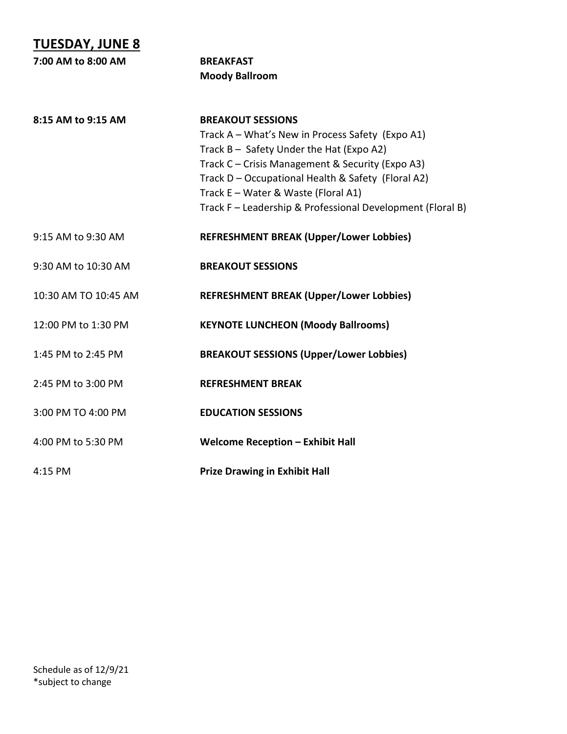**TUESDAY, JUNE 8 7:00 AM to 8:00 AM BREAKFAST** 

**8:15 AM to 9:15 AM BREAKOUT SESSIONS** Track A – What's New in Process Safety (Expo A1) Track B – Safety Under the Hat (Expo A2) Track C – Crisis Management & Security (Expo A3) Track D – Occupational Health & Safety (Floral A2) Track E – Water & Waste (Floral A1) Track F – Leadership & Professional Development (Floral B) 9:15 AM to 9:30 AM **REFRESHMENT BREAK (Upper/Lower Lobbies)** 9:30 AM to 10:30 AM **BREAKOUT SESSIONS** 10:30 AM TO 10:45 AM **REFRESHMENT BREAK (Upper/Lower Lobbies)** 12:00 PM to 1:30 PM **KEYNOTE LUNCHEON (Moody Ballrooms)** 1:45 PM to 2:45 PM **BREAKOUT SESSIONS (Upper/Lower Lobbies)** 2:45 PM to 3:00 PM **REFRESHMENT BREAK** 3:00 PM TO 4:00 PM **EDUCATION SESSIONS** 4:00 PM to 5:30 PM **Welcome Reception – Exhibit Hall** 4:15 PM **Prize Drawing in Exhibit Hall**

 **Moody Ballroom**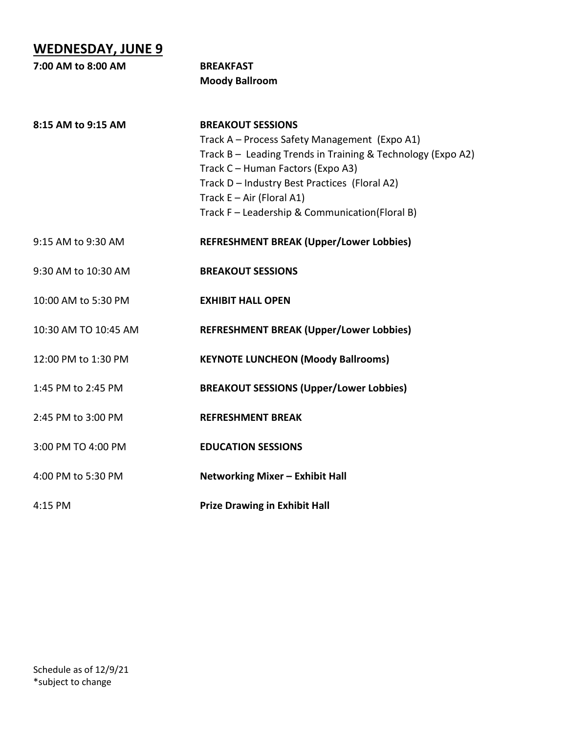## **WEDNESDAY, JUNE 9**

| 7:00 AM to 8:00 AM   | <b>BREAKFAST</b>                                                                                 |
|----------------------|--------------------------------------------------------------------------------------------------|
|                      | <b>Moody Ballroom</b>                                                                            |
| 8:15 AM to 9:15 AM   | <b>BREAKOUT SESSIONS</b><br>Track A - Process Safety Management (Expo A1)                        |
|                      | Track B - Leading Trends in Training & Technology (Expo A2)<br>Track C - Human Factors (Expo A3) |
|                      | Track D - Industry Best Practices (Floral A2)                                                    |
|                      | Track $E - Air$ (Floral A1)<br>Track F - Leadership & Communication(Floral B)                    |
| 9:15 AM to 9:30 AM   | <b>REFRESHMENT BREAK (Upper/Lower Lobbies)</b>                                                   |
| 9:30 AM to 10:30 AM  | <b>BREAKOUT SESSIONS</b>                                                                         |
| 10:00 AM to 5:30 PM  | <b>EXHIBIT HALL OPEN</b>                                                                         |
| 10:30 AM TO 10:45 AM | <b>REFRESHMENT BREAK (Upper/Lower Lobbies)</b>                                                   |
| 12:00 PM to 1:30 PM  | <b>KEYNOTE LUNCHEON (Moody Ballrooms)</b>                                                        |
| 1:45 PM to 2:45 PM   | <b>BREAKOUT SESSIONS (Upper/Lower Lobbies)</b>                                                   |
| 2:45 PM to 3:00 PM   | <b>REFRESHMENT BREAK</b>                                                                         |
| 3:00 PM TO 4:00 PM   | <b>EDUCATION SESSIONS</b>                                                                        |
| 4:00 PM to 5:30 PM   | Networking Mixer - Exhibit Hall                                                                  |
| 4:15 PM              | <b>Prize Drawing in Exhibit Hall</b>                                                             |